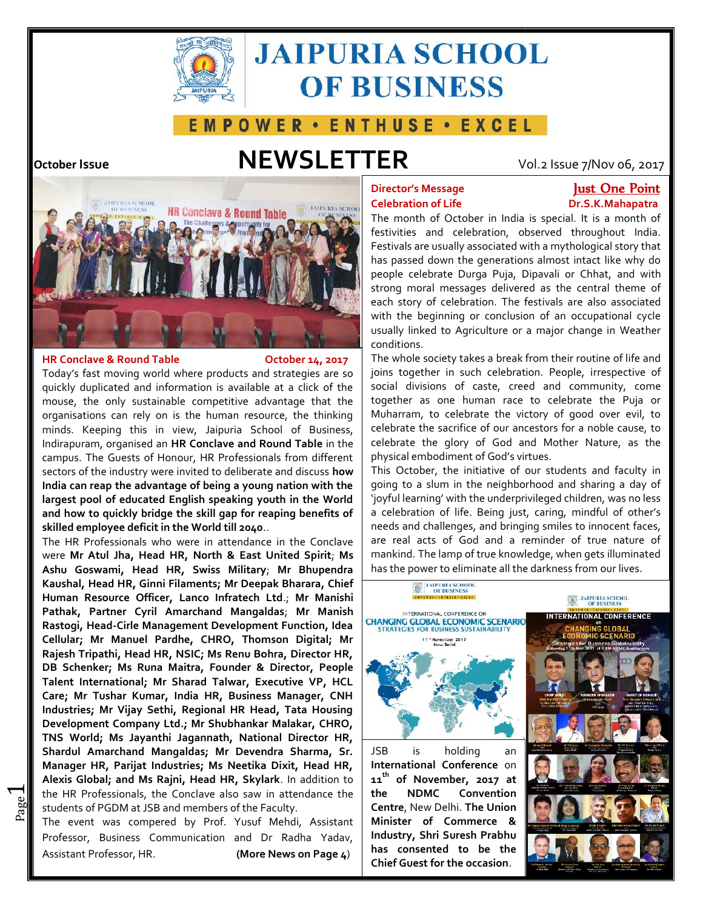

# **JAIPURIA SCHOOL OF BUSINESS**

### E M P O W E R · E N T H U S E · E X C E L

### **October Issue NEWSLETTER** Vol.2 Issue 7/Nov 06, 2017



#### **HR Conclave & Round Table October 14, 2017**

 $\overline{\phantom{0}}$ 

Today's fast moving world where products and strategies are so quickly duplicated and information is available at a click of the mouse, the only sustainable competitive advantage that the organisations can rely on is the human resource, the thinking minds. Keeping this in view, Jaipuria School of Business, Indirapuram, organised an **HR Conclave and Round Table** in the campus. The Guests of Honour, HR Professionals from different sectors of the industry were invited to deliberate and discuss **how India can reap the advantage of being a young nation with the largest pool of educated English speaking youth in the World and how to quickly bridge the skill gap for reaping benefits of skilled employee deficit in the World till 2040**.. celebrate Durga moral of festivals are occupational linked Agriculture a break joins celebration. one Puja the sacrifice our ancestors the glory and Mother embodiment the of students faculty slum sharing day 'joyful learning' with the underprivileged children, was just, challenges, and real of has the the The**Academic** Jaipuria **Table** fast and duplicated theonly competitive organisations human thinkingin in The of differentof **howreapof a with largest Worldquickly 2040**..;**MsAshu Goswami, Mr Filaments;Bharara, ChiefInfratech Head-Cirle Development Cellular; Mr Digital; Head HR,** 

and the interference and members of the Faculty.<br>
The event was compared by Prof. Yuguf, Mabdi. As the HR Professionals, the Conclave also saw in attendance the  $|$  the The HR Professionals who were in attendance in the Conclave were **Mr Atul Jha, Head HR, North & East United Spirit**; **Ms Ashu Goswami, Head HR, Swiss Military**; **Mr Bhupendra Kaushal, Head HR, Ginni Filaments; Mr Deepak Bharara, Chief Human Resource Officer, Lanco Infratech Ltd**.; **Mr Manishi Pathak, Partner Cyril Amarchand Mangaldas**; **Mr Manish Rastogi, Head-Cirle Management Development Function, Idea Cellular; Mr Manuel Pardhe, CHRO, Thomson Digital; Mr Rajesh Tripathi, Head HR, NSIC; Ms Renu Bohra, Director HR, DB Schenker; Ms Runa Maitra, Founder & Director, People Talent International; Mr Sharad Talwar, Executive VP, HCL Care; Mr Tushar Kumar, India HR, Business Manager, CNH Industries; Mr Vijay Sethi, Regional HR Head, Tata Housing Development Company Ltd.; Mr Shubhankar Malakar, CHRO, TNS World; Ms Jayanthi Jagannath, National Director HR, Shardul Amarchand Mangaldas; Mr Devendra Sharma, Sr. Manager HR, Parijat Industries; Ms Neetika Dixit, Head HR, Alexis Global; and Ms Rajni, Head HR, Skylark**. In addition to  $\, \mid \, \texttt{11}^{\text{m}} \,$  ( DB Schenker; Ms Runa Maitra, Founder & Director, People<br>Talent International; Mr Sharad Talwar, Executive VP, HCL<br>Care; Mr Tushar Kumar, India HR, Business Manager, CNH<br>Industries; Mr Vijay Sethi, Regional HR Head, Tata Ho

The event was compered by Prof. Yusuf Mehdi, Assistant Professor, Business Communication and Dr Radha Yadav, Assistant Professor, HR. **(More News on Page 4**)

## **Celebration of Life Dr.S.K.Mahapatra**

### **Director's Message Just One Point**

The month of October in India is special. It is a month of festivities and celebration, observed throughout India. Festivals are usually associated with a mythological story that has passed down the generations almost intact like why do people celebrate Durga Puja, Dipavali or Chhat, and with strong moral messages delivered as the central theme of each story of celebration. The festivals are also associated with the beginning or conclusion of an occupational cycle usually linked to Agriculture or a major change in Weather conditions.

The whole society takes a break from their routine of life and joins together in such celebration. People, irrespective of social divisions of caste, creed and community, come together as one human race to celebrate the Puja or Muharram, to celebrate the victory of good over evil, to celebrate the sacrifice of our ancestors for a noble cause, to celebrate the glory of God and Mother Nature, as the physical embodiment of God's virtues.

This October, the initiative of our students and faculty in going to a slum in the neighborhood and sharing a day of 'joyful learning' with the underprivileged children, was no less a celebration of life. Being just, caring, mindful of other's needs and challenges, and bringing smiles to innocent faces, are real acts of God and a reminder of true nature of mankind. The lamp of true knowledge, when gets illuminated has the power to eliminate all the darkness from our lives.

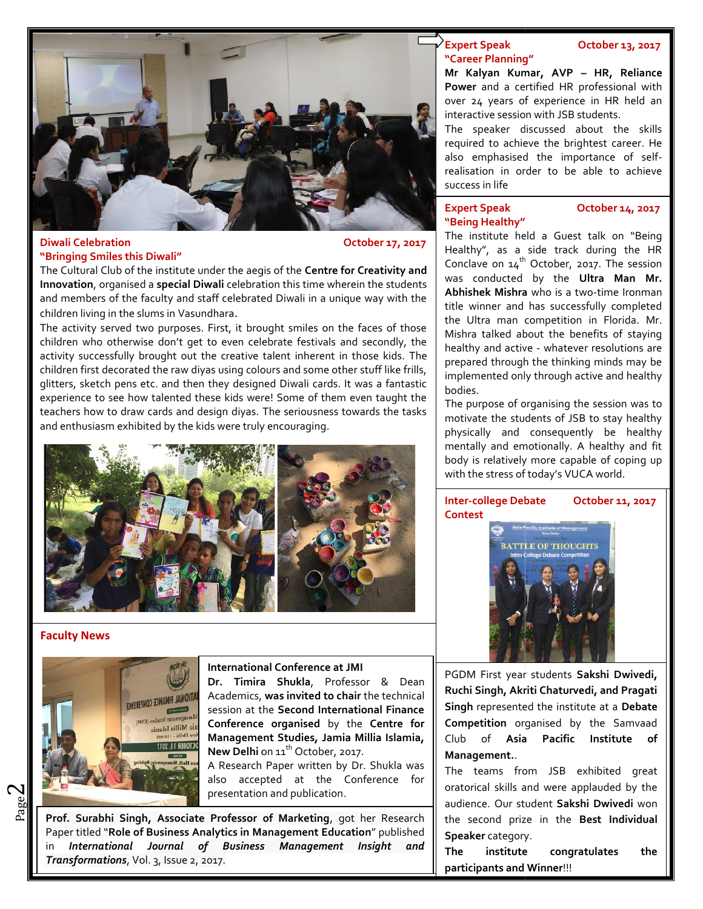

#### **Diwali Celebration CELED 17, 2017 "Bringing Smiles this Diwali"**

The Cultural Club of the institute under the aegis of the **Centre for Creativity and Innovation**, organised a **special Diwali** celebration this time wherein the students and members of the faculty and staff celebrated Diwali in a unique way with the children living in the slums in Vasundhara.

The activity served two purposes. First, it brought smiles on the faces of those  $\int_{0}^{1}$ children who otherwise don't get to even celebrate festivals and secondly, the activity successfully brought out the creative talent inherent in those kids. The children first decorated the raw diyas using colours and some other stuff like frills, glitters, sketch pens etc. and then they designed Diwali cards. It was a fantastic experience to see how talented these kids were! Some of them even taught the  $\frac{1}{2}$ teachers how to draw cards and design diyas. The seriousness towards the tasks and enthusiasm exhibited by the kids were truly encouraging. mbers of the faculty and staff celebrated Diwali in a unique way with the<br>living in the slums in Vasundhara.<br>vity served two purposes. First, it brought smiles on the faces of those<br>who otherwise don't get to even celebrat t decorated the raw diyas using colours and some other stuff like frills,<br>tch pens etc. and then they designed Diwali cards. It was a fantastic<br>to see how talented these kids were! Some of them even taught the<br>w to draw ca



#### **Faculty News**

 $P_{{\rm age}}$ 2



#### **International Conference at JMI**

**Dr. Timira Shukla**, Professor & Dean Academics, **was invited to chair** the technical  $\|$ session at the **Second International Finance**  $\parallel$  **Sing Conference organised** by the **Centre for** by **Management Studies, Jamia Millia Islamia,** New Delhi on 11<sup>th</sup> October, 2017.

A Research Paper written by Dr. Shukla was  $\parallel$   $_{\sf Th}$ also accepted at the Conference for presentation and publication. on 11<sup>th</sup> October<br>Paper written<br>pted at the

**Prof.** Surabhi Singh, Associate Professor of Marketing, got her Research the state of the state Professor of Marketing, got her Research Paper titled "**Role of Business Analytics in Management Education**" published "**Role Education**" in *International Journal of Business Management Insight and Transformations*, Vol. 3, Issue 2, 2017.

#### **Expert Speak October 13, 2017 "Career Planning"**

**Mr Kalyan Kumar, AVP – HR, Reliance Power** and a certified HR professional with over 24 years of experience in HR held an interactive session with JSB students.

The speaker discussed about the skills required to achieve the brightest career. He also emphasised the importance of self realisation in order to be able to achieve success in life over 24 years of experi<br>
interactive session with J<br>
The speaker discussed<br>
required to achieve the<br>
also emphasised the

### **"Being Healthy"**

### **Expert Speak October 14, 2017**

The institute held a Guest talk on "Being Healthy", as a side track during the HR The institute held a Guest talk on "Being<br>Healthy", as a side track during the HR<br>Conclave on 14<sup>th</sup> October, 2017. The session was conducted by the **Ultra Man Mr.** was **Abhishek Mishra** who is a two-time Ironman title winner and has successfully completed the Ultra man competition in Florida. Mr. Mishra talked about the benefits of staying healthy and active - whatever resolutions are prepared through the thinking minds may be implemented only through active and healthy bodies. title winner and has successfully completed<br>the Ultra man competition in Florida. Mr.<br>Mishra talked about the benefits of staying<br>healthy and active - whatever resolutions are<br>prepared through the thinking minds may be<br>imp

The purpose of organising the session was to motivate the students of JSB to stay healthy physically and consequently be healthy mentally and emotionally. A healthy and fit body is relatively more capable of coping up with the stress of today's VUCA world.



PGDM First year students **Sakshi Dwivedi, Ruchi Singh, Akriti Chaturvedi, and Pragati Singh** represented the institute at a **Debate Competition** organised by the Samvaad Pacific Institute of **Management.**.

The teams from JSB exhibited great oratorical skills and were applauded by the audience. Our student **Sakshi Dwivedi** won the second prize in the **Best Individual Speaker** category.

**The institute congratulates the**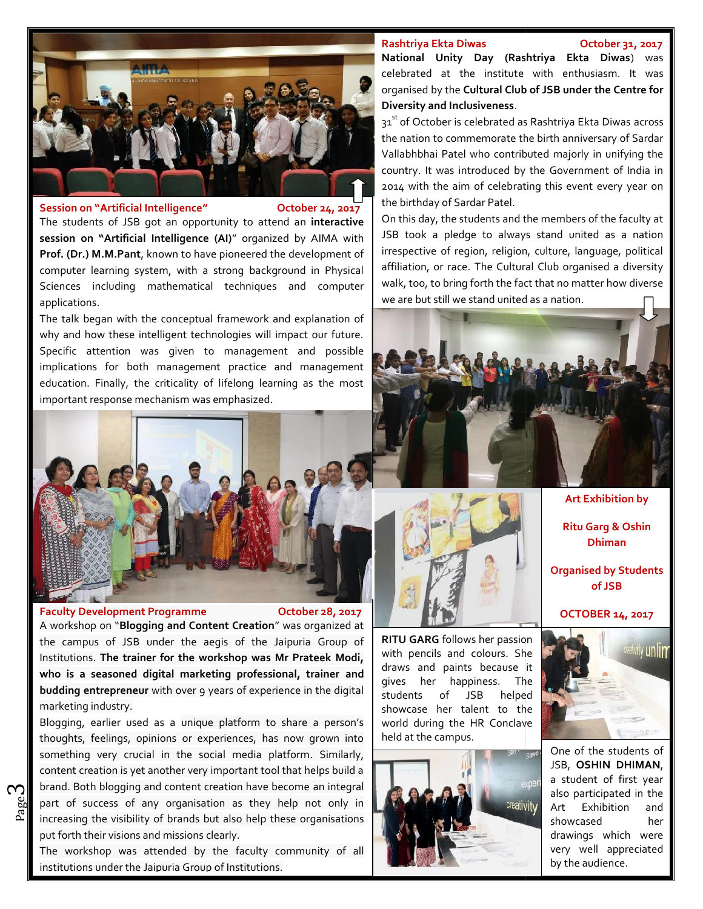#### **Rashtriya Ekta Diwas October 31, 2017**



**Session on "Artificial Intelligence" October 24, 2017 Session onOctober** 

The students of JSB got an opportunity to attend an **interactive** | <sup>On tr</sup> **session on "Artificial Intelligence (AI)**" organized by AIMA with **Prof. (Dr.) M.M.Pant**, known to have pioneered the development of computer learning system, with a strong background in Physical Sciences including mathematical techniques and computer applications.

The talk began with the conceptual framework and explanation of why and how these intelligent technologies will impact our future. Specific attention was given to management and possible implications for both management practice and management education. Finally, the criticality of lifelong learning as the most important response mechanism was emphasized.



#### **Faculty Development Programme**

**October 28,** 

A workshop on "**Blogging and Content Creation**" was organized at **Allack**<br>the campus of JSB under the aegis of the Jaipuria Group of **RI** the campus of JSB under the aegis of the Jaipuria Group of Institutions. **The trainer for the workshop was Mr Prateek Modi, who is a seasoned digital marketing professional, trainer and budding entrepreneur** with over 9 years of experience in the digital students marketing industry. Institutions. The trainer for the workshop was Mr Prateek Modi,<br>who is a seasoned digital marketing professional, trainer and<br>budding entrepreneur with over 9 years of experience in the digital<br>marketing industry.<br>Blogging

 $\frac{20}{20}$  part of success of any organisation as they help not only in  $\frac{1}{20}$ Blogging, earlier used as a unique platform to share a person's thoughts, feelings, opinions or experiences, has now grown into something very crucial in the social media platform. Similarly, content creation is yet another very important tool that helps build a brand. Both blogging and content creation have become an integral increasing the visibility of brands but also help these organisations put forth their visions and missions clearly. yet another very important tool that helps build a<br>ng and content creation have become an integral<br>f any organisation as they help not only in **Excertive Development Programme October 26, 2017**<br> **Excertive Development Programme**<br>
A workshop on "Blogging and Content Creasion" was organized at<br>
Institutions. The trainer for the workshop was Mr Prateck Modi, with pe **Exercise 18 And Solution** to share a person's digital marketing professional, trainer and privation with over 9 years of experience in the digital disturbed as a unique platform to share a person's pinions or experiences,

The workshop was attended by the faculty community of all institutions under the Jaipuria Group of Institutions.

**National Unity Day (Rashtriya Ekta Diwas**) was celebrated at the institute with enthusiasm. It was organised by the **Cultural Club of JSB under the Centre for Diversity and Inclusiveness**.

31<sup>st</sup> of October is celebrated as Rashtriya Ekta Diwas across the nation to commemorate the birth anniversary of Sardar Vallabhbhai Patel who contributed majorly in unifying the country. It was introduced by the Government of India in 2014 with the aim of celebrating this event every year on the birthday of Sardar Patel. **Diversity and Inclusiveness**.<br>
31<sup>st</sup> of October is celebrated as Rashtriya Ekta Diwas across<br>
the nation to commemorate the birth anniversary of Sardar<br>
Vallabhbhai Patel who contributed majorly in unifying the<br>
country.

On this day, the students and the members of the faculty at JSB took a pledge to always stand united as a nation irrespective of region, religion, culture, language, political affiliation, or race. The Cultural Club organised a diversity walk, too, to bring forth the fact that no matter how diverse  $\blacksquare$ we are but still we stand united as a nation. affiliation, or race. The Cultural<br>walk, too, to bring forth the fact<br>we are but still we stand united a



**Art Exhibition by Ritu Garg & Oshin Dhiman**

**Organised by Students of JSB**

**OCTOBER 14, 2017**



One of the students of JSB, **OSHIN DHIMAN**, a student of first year also participated in the Art Exhibition and showcased her drawings which were very well appreciated by the audience.



**RITU GARG** follows her passion with pencils and colours. She with pencils and colours. She **with pencils and colours.** She gives her happiness. The  $\mathcal{F}$ of JSB helped showcase her talent to the world during the HR Conclave held at the campus.